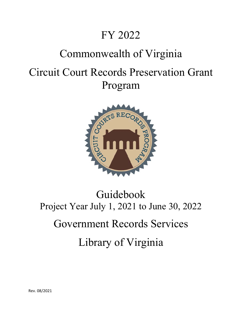# FY 2022

# Commonwealth of Virginia

# Circuit Court Records Preservation Grant Program



# Guidebook Project Year July 1, 2021 to June 30, 2022 Government Records Services Library of Virginia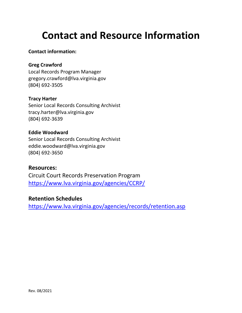# **Contact and Resource Information**

#### **Contact information:**

#### **Greg Crawford**

Local Records Program Manager gregory.crawford@lva.virginia.gov (804) 692‐3505

#### **Tracy Harter**

Senior Local Records Consulting Archivist tracy.harter@lva.virginia.gov (804) 692‐3639

#### **Eddie Woodward**

Senior Local Records Consulting Archivist eddie.woodward@lva.virginia.gov (804) 692‐3650

#### **Resources:**

Circuit Court Records Preservation Program https://www.lva.virginia.gov/agencies/CCRP/

#### **Retention Schedules**

https://www.lva.virginia.gov/agencies/records/retention.asp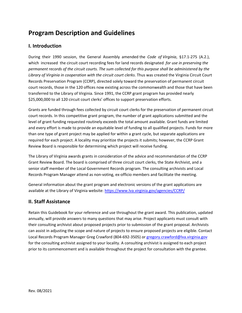## **Program Description and Guidelines**

#### **I. Introduction**

During their 1990 session, the General Assembly amended the *Code of Virginia*, §17.1-275 (A.2.), which increased the circuit court recording fees for land records designated *for use in preserving the permanent records of the circuit courts. The sum collected for this purpose shall be administered by the Library of Virginia in cooperation with the circuit court clerks*. Thus was created the Virginia Circuit Court Records Preservation Program (CCRP), directed solely toward the preservation of permanent circuit court records, those in the 120 offices now existing across the commonwealth and those that have been transferred to the Library of Virginia. Since 1991, the CCRP grant program has provided nearly \$25,000,000 to all 120 circuit court clerks' offices to support preservation efforts.

Grants are funded through fees collected by circuit court clerks for the preservation of permanent circuit court records. In this competitive grant program, the number of grant applications submitted and the level of grant funding requested routinely exceeds the total amount available. Grant funds are limited and every effort is made to provide an equitable level of funding to all qualified projects. Funds for more than one type of grant project may be applied for within a grant cycle, but separate applications are required for each project. A locality may prioritize the projects it submits; however, the CCRP Grant Review Board is responsible for determining which project will receive funding.

The Library of Virginia awards grants in consideration of the advice and recommendation of the CCRP Grant Review Board. The board is comprised of three circuit court clerks, the State Archivist, and a senior staff member of the Local Government Records program. The consulting archivists and Local Records Program Manager attend as non‐voting, ex‐officio members and facilitate the meeting.

General information about the grant program and electronic versions of the grant applications are available at the Library of Virginia website: https://www.lva.virginia.gov/agencies/CCRP/

#### **II. Staff Assistance**

Retain this Guidebook for your reference and use throughout the grant award. This publication, updated annually, will provide answers to many questions that may arise. Project applicants must consult with their consulting archivist about proposed projects prior to submission of the grant proposal. Archivists can assist in adjusting the scope and nature of projects to ensure proposed projects are eligible. Contact Local Records Program Manager Greg Crawford (804-692-3505) or gregory.crawford@lva.virginia.gov for the consulting archivist assigned to your locality. A consulting archivist is assigned to each project prior to its commencement and is available throughout the project for consultation with the grantee.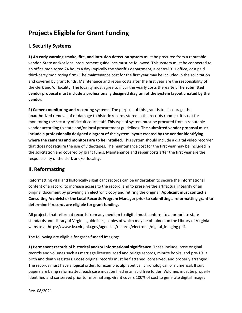# **Projects Eligible for Grant Funding**

#### **I. Security Systems**

**1) An early warning smoke, fire, and intrusion detection system** must be procured from a reputable vendor. State and/or local procurement guidelines must be followed. This system must be connected to an office monitored 24 hours a day (typically the sheriff's department, a central 911 office, or a paid third‐party monitoring firm). The maintenance cost for the first year may be included in the solicitation and covered by grant funds. Maintenance and repair costs after the first year are the responsibility of the clerk and/or locality. The locality must agree to incur the yearly costs thereafter. **The submitted vendor proposal must include a professionally designed diagram of the system layout created by the vendor.**

**2) Camera monitoring and recording systems.** The purpose of this grant is to discourage the unauthorized removal of or damage to historic records stored in the records room(s). It is not for monitoring the security of circuit court staff. This type of system must be procured from a reputable vendor according to state and/or local procurement guidelines. **The submitted vendor proposal must include a professionally designed diagram of the system layout created by the vendor identifying where the cameras and monitors are to be installed.** This system should include a digital video recorder that does not require the use of videotapes. The maintenance cost for the first year may be included in the solicitation and covered by grant funds. Maintenance and repair costs after the first year are the responsibility of the clerk and/or locality.

#### **II. Reformatting**

Reformatting vital and historically significant records can be undertaken to secure the informational content of a record, to increase access to the record, and to preserve the artifactual integrity of an original document by providing an electronic copy and retiring the original. **Applicant must contact a Consulting Archivist or the Local Records Program Manager prior to submitting a reformatting grant to determine if records are eligible for grant funding.** 

All projects that reformat records from any medium to digital must conform to appropriate state standards and Library of Virginia guidelines, copies of which may be obtained on the Library of Virginia website at https://www.lva.virginia.gov/agencies/records/electronic/digital\_imaging.pdf.

The following are eligible for grant‐funded imaging:

**1) Permanent records of historical and/or informational significance.** These include loose original records and volumes such as marriage licenses, road and bridge records, minute books, and pre‐1913 birth and death registers. Loose original records must be flattened, conserved, and properly arranged. The records must have a logical order, for example, alphabetical, chronological, or numerical. If suit papers are being reformatted, each case must be filed in an acid free folder. Volumes must be properly identified and conserved prior to reformatting. Grant covers 100% of cost to generate digital images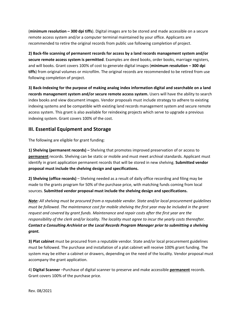(**minimum resolution – 300 dpi tiffs**). Digital images are to be stored and made accessible on a secure remote access system and/or a computer terminal maintained by your office. Applicants are recommended to retire the original records from public use following completion of project.

**2) Back‐file scanning of permanent records for access by a land records management system and/or secure remote access system is permitted**. Examples are deed books, order books, marriage registers, and will books. Grant covers 100% of cost to generate digital images (**minimum resolution – 300 dpi tiffs**) from original volumes or microfilm. The original records are recommended to be retired from use following completion of project.

**3) Back‐Indexing for the purpose of making analog index information digital and searchable on a land records management system and/or secure remote access system.** Users will have the ability to search index books and view document images. Vendor proposals must include strategy to adhere to existing indexing systems and be compatible with existing land records management system and secure remote access system. This grant is also available for reindexing projects which serve to upgrade a previous indexing system. Grant covers 100% of the cost.

#### **III. Essential Equipment and Storage**

The following are eligible for grant funding:

**1) Shelving (permanent records) –** Shelving that promotes improved preservation of or access to **permanent** records. Shelving can be static or mobile and must meet archival standards. Applicant must identify in grant application permanent records that will be stored in new shelving. **Submitted vendor proposal must include the shelving design and specifications.** 

**2) Shelving (office records)** – Shelving needed as a result of daily office recording and filing may be made to the grants program for 50% of the purchase price, with matching funds coming from local sources. **Submitted vendor proposal must include the shelving design and specifications.** 

*Note: All shelving must be procured from a reputable vendor. State and/or local procurement guidelines must be followed. The maintenance cost for mobile shelving the first year may be included in the grant request and covered by grant funds. Maintenance and repair costs after the first year are the responsibility of the clerk and/or locality. The locality must agree to incur the yearly costs thereafter. Contact a Consulting Archivist or the Local Records Program Manager prior to submitting a shelving grant.*

**3) Plat cabinet** must be procured from a reputable vendor. State and/or local procurement guidelines must be followed. The purchase and installation of a plat cabinet will receive 100% grant funding. The system may be either a cabinet or drawers, depending on the need of the locality. Vendor proposal must accompany the grant application.

4) **Digital Scanner** –Purchase of digital scanner to preserve and make accessible **permanent** records. Grant covers 100% of the purchase price.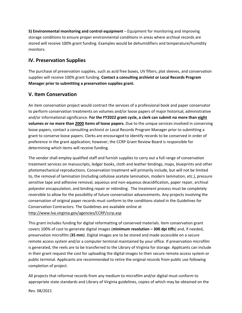**5) Environmental monitoring and control equipment** – Equipment for monitoring and improving storage conditions to ensure proper environmental conditions in areas where archival records are stored will receive 100% grant funding. Examples would be dehumidifiers and temperature/humidity monitors.

#### **IV. Preservation Supplies**

The purchase of preservation supplies, such as acid free boxes, UV filters, plat sleeves, and conservation supplies will receive 100% grant funding. **Contact a consulting archivist or Local Records Program Manager prior to submitting a preservation supplies grant.**

#### **V. Item Conservation**

An item conservation project would contract the services of a professional book and paper conservator to perform conservation treatments on volumes and/or loose papers of major historical, administrative and/or informational significance. **For the FY2022 grant cycle, a clerk can submit no more than eight volumes or no more than 2000 items of loose papers.** Due to the unique services involved in conserving loose papers, contact a consulting archivist or Local Records Program Manager prior to submitting a grant to conserve loose papers. Clerks are encouraged to identify records to be conserved in order of preference in the grant application; however, the CCRP Grant Review Board is responsible for determining which items will receive funding.

The vendor shall employ qualified staff and furnish supplies to carry out a full range of conservation treatment services on manuscripts, ledger books, cloth and leather bindings, maps, blueprints and other photomechanical reproductions. Conservation treatment will primarily include, but will not be limited to, the removal of lamination (including cellulose acetate lamination, modern lamination, etc.), pressure sensitive tape and adhesive removal, aqueous and non‐aqueous deacidification, paper repair, archival polyester encapsulation, and binding repair or rebinding. The treatment process must be completely reversible to allow for the possibility of future conservation advancements. Any projects involving the conservation of original paper records must conform to the conditions stated in the Guidelines for Conservation Contractors. The Guidelines are available online at http://www.lva.virginia.gov/agencies/CCRP/ccrp.asp

This grant includes funding for digital reformatting of conserved materials. Item conservation grant covers 100% of cost to generate digital images (**minimum resolution – 300 dpi tiffs**) and, if needed, preservation microfilm (**35 mm**). Digital images are to be stored and made accessible on a secure remote access system and/or a computer terminal maintained by your office. If preservation microfilm is generated, the reels are to be transferred to the Library of Virginia for storage. Applicants can include in their grant request the cost for uploading the digital images to their secure remote access system or public terminal. Applicants are recommended to retire the original records from public use following completion of project.

All projects that reformat records from any medium to microfilm and/or digital must conform to appropriate state standards and Library of Virginia guidelines, copies of which may be obtained on the

Rev. 08/2021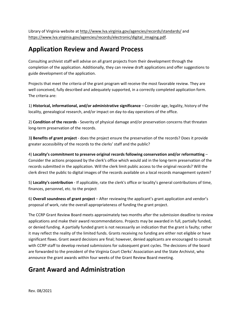Library of Virginia website at http://www.lva.virginia.gov/agencies/records/standards/ and https://www.lva.virginia.gov/agencies/records/electronic/digital\_imaging.pdf.

### **Application Review and Award Process**

Consulting archivist staff will advise on all grant projects from their development through the completion of the application. Additionally, they can review draft applications and offer suggestions to guide development of the application.

Projects that meet the criteria of the grant program will receive the most favorable review. They are well conceived, fully described and adequately supported, in a correctly completed application form. The criteria are:

1) **Historical, informational, and/or administrative significance** – Consider age, legality, history of the locality, genealogical research, and/or impact on day‐to‐day operations of the office.

2) **Condition of the records** ‐ Severity of physical damage and/or preservation concerns that threaten long‐term preservation of the records.

3**) Benefits of grant project** ‐ does the project ensure the preservation of the records? Does it provide greater accessibility of the records to the clerks' staff and the public?

4) **Locality's commitment to preserve original records following conservation and/or reformatting** – Consider the actions proposed by the clerk's office which would aid in the long‐term preservation of the records submitted in the application. Will the clerk limit public access to the original records? Will the clerk direct the public to digital images of the records available on a local records management system?

5) **Locality's contribution** ‐ If applicable, rate the clerk's office or locality's general contributions of time, finances, personnel, etc. to the project

6) **Overall soundness of grant project** – After reviewing the applicant's grant application and vendor's proposal of work, rate the overall appropriateness of funding the grant project.

The CCRP Grant Review Board meets approximately two months after the submission deadline to review applications and make their award recommendations. Projects may be awarded in full, partially funded, or denied funding. A partially funded grant is not necessarily an indication that the grant is faulty; rather it may reflect the reality of the limited funds. Grants receiving no funding are either not eligible or have significant flaws. Grant award decisions are final; however, denied applicants are encouraged to consult with CCRP staff to develop revised submissions for subsequent grant cycles. The decisions of the board are forwarded to the president of the Virginia Court Clerks' Association and the State Archivist, who announce the grant awards within four weeks of the Grant Review Board meeting.

## **Grant Award and Administration**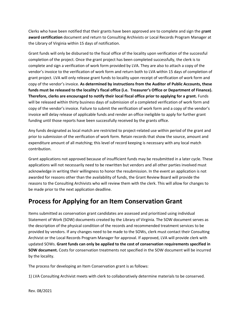Clerks who have been notified that their grants have been approved are to complete and sign the g**rant award certification** document and return to Consulting Archivists or Local Records Program Manager at the Library of Virginia within 15 days of notification.

Grant funds will only be disbursed to the fiscal office of the locality upon verification of the successful completion of the project. Once the grant project has been completed successfully, the clerk is to complete and sign a verification of work form provided by LVA. They are also to attach a copy of the vendor's invoice to the verification of work form and return both to LVA within 15 days of completion of grant project. LVA will only release grant funds to locality upon receipt of verification of work form and copy of the vendor's invoice. **As determined by instructions from the Auditor of Public Accounts, these funds must be released to the locality's fiscal office (i.e. Treasurer's Office or Department of Finance). Therefore, clerks are encouraged to notify their local fiscal office prior to applying for a grant.** Funds will be released within thirty business days of submission of a completed verification of work form and copy of the vendor's invoice. Failure to submit the verification of work form and a copy of the vendor's invoice will delay release of applicable funds and render an office ineligible to apply for further grant funding until those reports have been successfully received by the grants office.

Any funds designated as local match are restricted to project-related use within period of the grant and prior to submission of the verification of work form. Retain records that show the source, amount and expenditure amount of all matching; this level of record keeping is necessary with any local match contribution.

Grant applications not approved because of insufficient funds may be resubmitted in a later cycle. These applications will not necessarily need to be rewritten but vendors and all other parties involved must acknowledge in writing their willingness to honor the resubmission. In the event an application is not awarded for reasons other than the availability of funds, the Grant Review Board will provide the reasons to the Consulting Archivists who will review them with the clerk. This will allow for changes to be made prior to the next application deadline.

## **Process for Applying for an Item Conservation Grant**

Items submitted as conservation grant candidates are assessed and prioritized using individual Statement of Work (SOW) documents created by the Library of Virginia. The SOW document serves as the description of the physical condition of the records and recommended treatment services to be provided by vendors. If any changes need to be made to the SOWs, clerk must contact their Consulting Archivist or the Local Records Program Manager for approval. If approved, LVA will provide clerk with updated SOWs. **Grant funds can only be applied to the cost of conservation requirements specified in SOW document.** Costs for conservation treatments not specified in the SOW document will be incurred by the locality.

The process for developing an Item Conservation grant is as follows:

1) LVA Consulting Archivist meets with clerk to collaboratively determine materials to be conserved.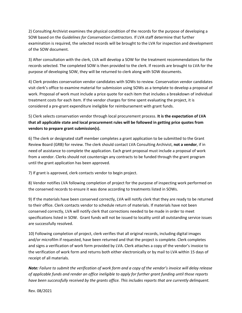2) Consulting Archivist examines the physical condition of the records for the purpose of developing a SOW based on the *Guidelines for Conservation Contractors*. If LVA staff determine that further examination is required, the selected records will be brought to the LVA for inspection and development of the SOW document.

3) After consultation with the clerk, LVA will develop a SOW for the treatment recommendations for the records selected. The completed SOW is then provided to the clerk. If records are brought to LVA for the purpose of developing SOW, they will be returned to clerk along with SOW documents.

4) Clerk provides conservation vendor candidates with SOWs to review. Conservation vendor candidates visit clerk's office to examine material for submission using SOWs as a template to develop a proposal of work. Proposal of work must include a price quote for each item that includes a breakdown of individual treatment costs for each item. If the vendor charges for time spent evaluating the project, it is considered a pre‐grant expenditure ineligible for reimbursement with grant funds.

5) Clerk selects conservation vendor through local procurement process. **It is the expectation of LVA that all applicable state and local procurement rules will be followed in getting price quotes from vendors to prepare grant submission(s).**

6) The clerk or designated staff member completes a grant application to be submitted to the Grant Review Board (GRB) for review. The clerk should contact LVA Consulting Archivist, **not a vendor**, if in need of assistance to complete the application. Each grant proposal must include a proposal of work from a vendor. Clerks should not countersign any contracts to be funded through the grant program until the grant application has been approved.

7) If grant is approved, clerk contacts vendor to begin project.

8) Vendor notifies LVA following completion of project for the purpose of inspecting work performed on the conserved records to ensure it was done according to treatments listed in SOWs.

9) If the materials have been conserved correctly, LVA will notify clerk that they are ready to be returned to their office. Clerk contacts vendor to schedule return of materials. If materials have not been conserved correctly, LVA will notify clerk that corrections needed to be made in order to meet specifications listed in SOW. Grant funds will not be issued to locality until all outstanding service issues are successfully resolved.

10) Following completion of project, clerk verifies that all original records, including digital images and/or microfilm if requested, have been returned and that the project is complete. Clerk completes and signs a verification of work form provided by LVA. Clerk attaches a copy of the vendor's invoice to the verification of work form and returns both either electronically or by mail to LVA within 15 days of receipt of all materials.

*Note: Failure to submit the verification of work form and a copy of the vendor's invoice will delay release of applicable funds and render an office ineligible to apply for further grant funding until those reports have been successfully received by the grants office. This includes reports that are currently delinquent.*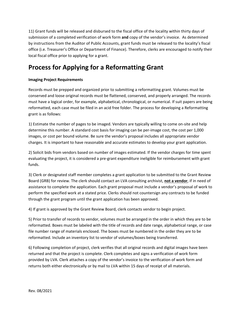11) Grant funds will be released and disbursed to the fiscal office of the locality within thirty days of submission of a completed verification of work form **and** copy of the vendor's invoice. As determined by instructions from the Auditor of Public Accounts, grant funds must be released to the locality's fiscal office (i.e. Treasurer's Office or Department of Finance). Therefore, clerks are encouraged to notify their local fiscal office prior to applying for a grant.

## **Process for Applying for a Reformatting Grant**

#### **Imaging Project Requirements**

Records must be prepped and organized prior to submitting a reformatting grant. Volumes must be conserved and loose original records must be flattened, conserved, and properly arranged. The records must have a logical order, for example, alphabetical, chronological, or numerical. If suit papers are being reformatted, each case must be filed in an acid free folder. The process for developing a Reformatting grant is as follows:

1) Estimate the number of pages to be imaged. Vendors are typically willing to come on‐site and help determine this number. A standard cost basis for imaging can be per-image cost, the cost per 1,000 images, or cost per bound volume. Be sure the vendor's proposal includes all appropriate vendor charges. It is important to have reasonable and accurate estimates to develop your grant application.

2) Solicit bids from vendors based on number of images estimated. If the vendor charges for time spent evaluating the project, it is considered a pre‐grant expenditure ineligible for reimbursement with grant funds.

3) Clerk or designated staff member completes a grant application to be submitted to the Grant Review Board (GRB) for review. The clerk should contact an LVA consulting archivist, **not a vendor**, if in need of assistance to complete the application. Each grant proposal must include a vendor's proposal of work to perform the specified work at a stated price. Clerks should not countersign any contracts to be funded through the grant program until the grant application has been approved.

4) If grant is approved by the Grant Review Board, clerk contacts vendor to begin project.

5) Prior to transfer of records to vendor, volumes must be arranged in the order in which they are to be reformatted. Boxes must be labeled with the title of records and date range, alphabetical range, or case file number range of materials enclosed. The boxes must be numbered in the order they are to be reformatted. Include an inventory list to vendor of volumes/boxes being transferred.

6) Following completion of project, clerk verifies that all original records and digital images have been returned and that the project is complete. Clerk completes and signs a verification of work form provided by LVA. Clerk attaches a copy of the vendor's invoice to the verification of work form and returns both either electronically or by mail to LVA within 15 days of receipt of all materials.